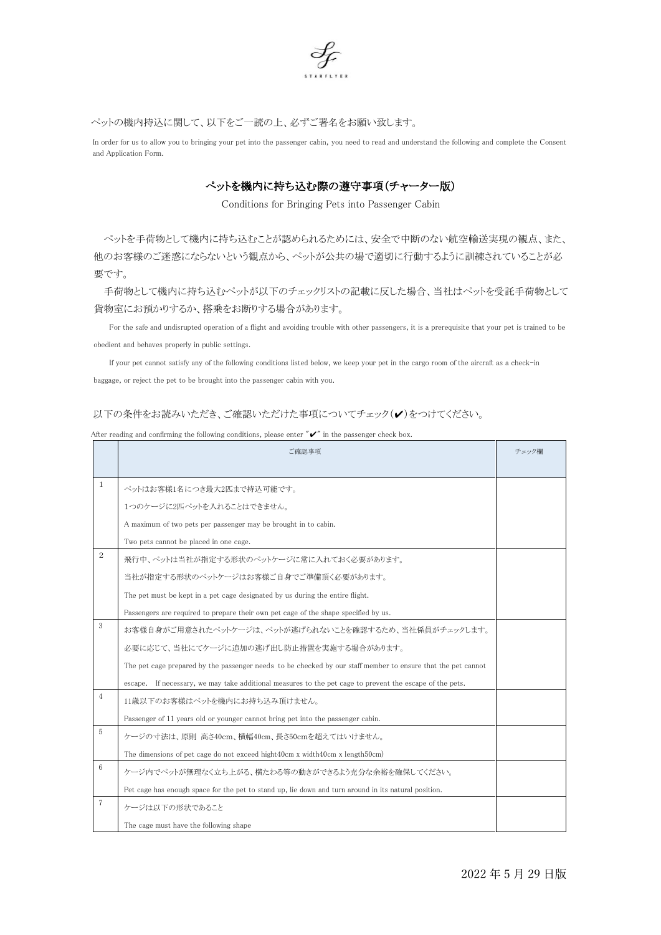

ペットの機内持込に関して、以下をご一読の上、必ずご署名をお願い致します。

In order for us to allow you to bringing your pet into the passenger cabin, you need to read and understand the following and complete the Consent and Application Form.

## ぺットを機内に持ち込む際の遵守事項(チャーター版)

Conditions for Bringing Pets into Passenger Cabin

ペットを手荷物として機内に持ち込むことが認められるためには、安全で中断のない航空輸送実現の観点、また、 他のお客様のご迷惑にならないという観点から、ペットが公共の場で適切に行動するように訓練されていることが必 要です。

手荷物として機内に持ち込むペットが以下のチェックリストの記載に反した場合、当社はペットを受託手荷物として 貨物室にお預かりするか、搭乗をお断りする場合があります。

For the safe and undisrupted operation of a flight and avoiding trouble with other passengers, it is a prerequisite that your pet is trained to be obedient and behaves properly in public settings.

If your pet cannot satisfy any of the following conditions listed below, we keep your pet in the cargo room of the aircraft as a check-in baggage, or reject the pet to be brought into the passenger cabin with you.

## 以下の条件をお読みいただき、ご確認いただけた事項についてチェック(ノ)をつけてください。

| After reading and confirming the following conditions, please enter $\mathscr{V}$ in the passenger check box. |  |  |
|---------------------------------------------------------------------------------------------------------------|--|--|
|---------------------------------------------------------------------------------------------------------------|--|--|

|                | ご確認事項                                                                                                        |  |  |  |
|----------------|--------------------------------------------------------------------------------------------------------------|--|--|--|
|                |                                                                                                              |  |  |  |
| 1              | ペットはお客様1名につき最大2匹まで持込可能です。                                                                                    |  |  |  |
|                | 1つのケージに2匹ペットを入れることはできません。                                                                                    |  |  |  |
|                | A maximum of two pets per passenger may be brought in to cabin.                                              |  |  |  |
|                | Two pets cannot be placed in one cage.                                                                       |  |  |  |
| 2              | 飛行中、ペットは当社が指定する形状のペットケージに常に入れておく必要があります。                                                                     |  |  |  |
|                | 当社が指定する形状のペットケージはお客様ご自身でご準備頂く必要があります。                                                                        |  |  |  |
|                | The pet must be kept in a pet cage designated by us during the entire flight.                                |  |  |  |
|                | Passengers are required to prepare their own pet cage of the shape specified by us.                          |  |  |  |
| 3              | お客様自身がご用意されたペットケージは、ペットが逃げられないことを確認するため、当社係員がチェックします。                                                        |  |  |  |
|                | 必要に応じて、当社にてケージに追加の逃げ出し防止措置を実施する場合があります。                                                                      |  |  |  |
|                | The pet cage prepared by the passenger needs to be checked by our staff member to ensure that the pet cannot |  |  |  |
|                | escape. If necessary, we may take additional measures to the pet cage to prevent the escape of the pets.     |  |  |  |
| $\overline{4}$ | 11歳以下のお客様はペットを機内にお持ち込み頂けません。                                                                                 |  |  |  |
|                | Passenger of 11 years old or younger cannot bring pet into the passenger cabin.                              |  |  |  |
| 5              | ケージの寸法は、原則 高さ40cm、横幅40cm、長さ50cmを超えてはいけません。                                                                   |  |  |  |
|                | The dimensions of pet cage do not exceed hight40cm x width40cm x length50cm)                                 |  |  |  |
| 6              | ケージ内でペットが無理なく立ち上がる、横たわる等の動きができるよう充分な余裕を確保してください。                                                             |  |  |  |
|                | Pet cage has enough space for the pet to stand up, lie down and turn around in its natural position.         |  |  |  |
| 7              | ケージは以下の形状であること                                                                                               |  |  |  |
|                | The cage must have the following shape                                                                       |  |  |  |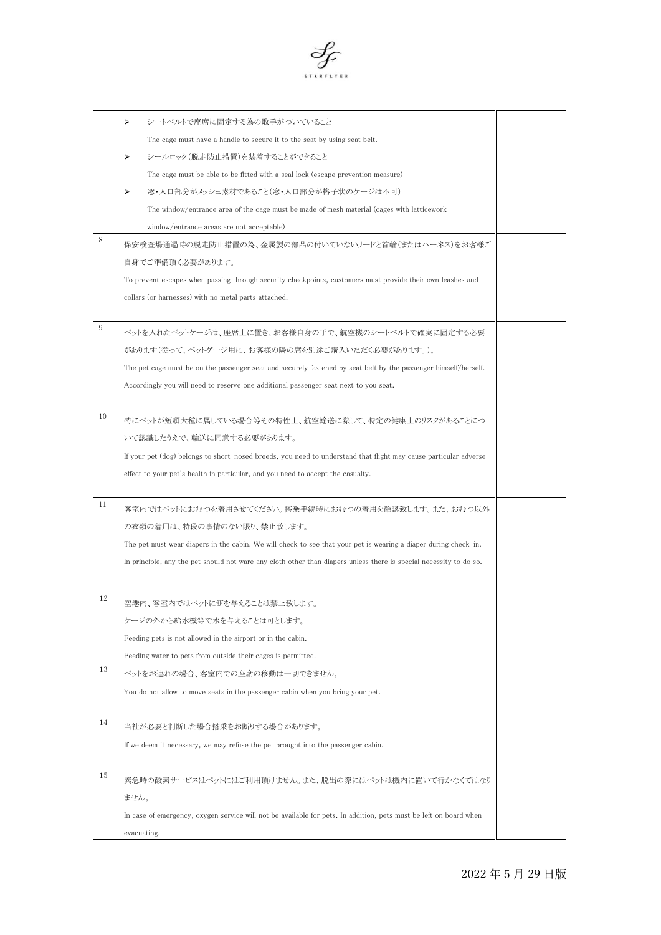

|    | シートベルトで座席に固定する為の取手がついていること<br>⋗                                                                                    |  |
|----|--------------------------------------------------------------------------------------------------------------------|--|
|    | The cage must have a handle to secure it to the seat by using seat belt.                                           |  |
|    | シールロック(脱走防止措置)を装着することができること<br>⋗                                                                                   |  |
|    | The cage must be able to be fitted with a seal lock (escape prevention measure)                                    |  |
|    | 窓・入口部分がメッシュ素材であること(窓・入口部分が格子状のケージは不可)<br>⋗                                                                         |  |
|    | The window/entrance area of the cage must be made of mesh material (cages with latticework                         |  |
|    | window/entrance areas are not acceptable)                                                                          |  |
| 8  | 保安検査場通過時の脱走防止措置の為、金属製の部品の付いていないリードと首輪(またはハーネス)をお客様ご                                                                |  |
|    | 自身でご準備頂く必要があります。                                                                                                   |  |
|    | To prevent escapes when passing through security checkpoints, customers must provide their own leashes and         |  |
|    | collars (or harnesses) with no metal parts attached.                                                               |  |
|    |                                                                                                                    |  |
| 9  | ペットを入れたペットケージは、座席上に置き、お客様自身の手で、航空機のシートベルトで確実に固定する必要                                                                |  |
|    | があります(従って、ペットゲージ用に、お客様の隣の席を別途ご購入いただく必要があります。)。                                                                     |  |
|    | The pet cage must be on the passenger seat and securely fastened by seat belt by the passenger himself/herself.    |  |
|    | Accordingly you will need to reserve one additional passenger seat next to you seat.                               |  |
|    |                                                                                                                    |  |
| 10 | 特にペットが短頭犬種に属している場合等その特性上、航空輸送に際して、特定の健康上のリスクがあることにつ                                                                |  |
|    | いて認識したうえで、輸送に同意する必要があります。                                                                                          |  |
|    | If your pet (dog) belongs to short-nosed breeds, you need to understand that flight may cause particular adverse   |  |
|    | effect to your pet's health in particular, and you need to accept the casualty.                                    |  |
|    |                                                                                                                    |  |
| 11 | 客室内ではペットにおむつを着用させてください。搭乗手続時におむつの着用を確認致します。また、おむつ以外                                                                |  |
|    | の衣類の着用は、特段の事情のない限り、禁止致します。                                                                                         |  |
|    | The pet must wear diapers in the cabin. We will check to see that your pet is wearing a diaper during check-in.    |  |
|    | In principle, any the pet should not ware any cloth other than diapers unless there is special necessity to do so. |  |
|    |                                                                                                                    |  |
| 12 |                                                                                                                    |  |
|    | 空港内、客室内ではペットに餌を与えることは禁止致します。                                                                                       |  |
|    | ケージの外から給水機等で水を与えることは可とします。                                                                                         |  |
|    | Feeding pets is not allowed in the airport or in the cabin.                                                        |  |
| 13 | Feeding water to pets from outside their cages is permitted.                                                       |  |
|    | ペットをお連れの場合、客室内での座席の移動は一切できません。                                                                                     |  |
|    | You do not allow to move seats in the passenger cabin when you bring your pet.                                     |  |
|    |                                                                                                                    |  |
| 14 | 当社が必要と判断した場合搭乗をお断りする場合があります。                                                                                       |  |
|    | If we deem it necessary, we may refuse the pet brought into the passenger cabin.                                   |  |
|    |                                                                                                                    |  |
| 15 | 緊急時の酸素サービスはペットにはご利用頂けません。また、脱出の際にはペットは機内に置いて行かなくてはなり                                                               |  |
|    | ません。                                                                                                               |  |
|    | In case of emergency, oxygen service will not be available for pets. In addition, pets must be left on board when  |  |
|    | evacuating.                                                                                                        |  |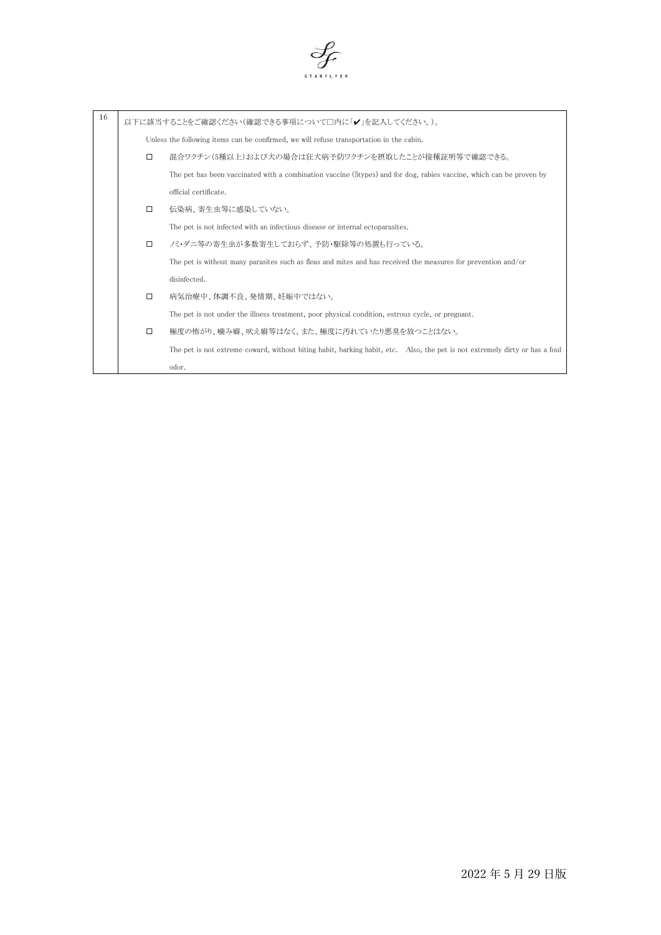

| 16 |        | 以下に該当することをご確認ください(確認できる事項について□内に「✔」を記入してください。)。                                                                             |
|----|--------|-----------------------------------------------------------------------------------------------------------------------------|
|    |        | Unless the following items can be confirmed, we will refuse transportation in the cabin.                                    |
|    | □      | 混合ワクチン(5種以上)および犬の場合は狂犬病予防ワクチンを摂取したことが接種証明等で確認できる。                                                                           |
|    |        | The pet has been vaccinated with a combination vaccine (5types) and for dog, rabies vaccine, which can be proven by         |
|    |        | official certificate.                                                                                                       |
|    | $\Box$ | 伝染病、寄生虫等に感染していない。                                                                                                           |
|    |        | The pet is not infected with an infectious disease or internal ectoparasites.                                               |
|    |        | ノミ・ダニ等の寄生虫が多数寄生しておらず、予防・駆除等の処置も行っている。                                                                                       |
|    |        | The pet is without many parasites such as fleas and mites and has received the measures for prevention and/or               |
|    |        | disinfected.                                                                                                                |
|    | $\Box$ | 病気治療中、体調不良、発情期、妊娠中ではない。                                                                                                     |
|    |        | The pet is not under the illness treatment, poor physical condition, estrous cycle, or pregnant.                            |
|    | □      | 極度の怖がり、噛み癖、吠え癖等はなく、また、極度に汚れていたり悪臭を放つことはない。                                                                                  |
|    |        | The pet is not extreme coward, without biting habit, barking habit, etc. Also, the pet is not extremely dirty or has a foul |
|    |        | odor.                                                                                                                       |